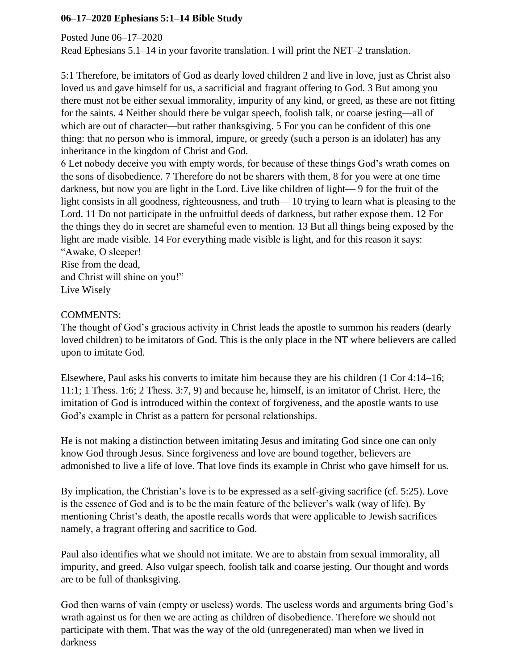## **06–17–2020 Ephesians 5:1–14 Bible Study**

Posted June 06–17–2020

Read Ephesians 5.1–14 in your favorite translation. I will print the NET–2 translation.

5:1 Therefore, be imitators of God as dearly loved children 2 and live in love, just as Christ also loved us and gave himself for us, a sacrificial and fragrant offering to God. 3 But among you there must not be either sexual immorality, impurity of any kind, or greed, as these are not fitting for the saints. 4 Neither should there be vulgar speech, foolish talk, or coarse jesting—all of which are out of character—but rather thanksgiving. 5 For you can be confident of this one thing: that no person who is immoral, impure, or greedy (such a person is an idolater) has any inheritance in the kingdom of Christ and God.

6 Let nobody deceive you with empty words, for because of these things God's wrath comes on the sons of disobedience. 7 Therefore do not be sharers with them, 8 for you were at one time darkness, but now you are light in the Lord. Live like children of light— 9 for the fruit of the light consists in all goodness, righteousness, and truth— 10 trying to learn what is pleasing to the Lord. 11 Do not participate in the unfruitful deeds of darkness, but rather expose them. 12 For the things they do in secret are shameful even to mention. 13 But all things being exposed by the light are made visible. 14 For everything made visible is light, and for this reason it says: "Awake, O sleeper!

Rise from the dead, and Christ will shine on you!" Live Wisely

## COMMENTS:

The thought of God's gracious activity in Christ leads the apostle to summon his readers (dearly loved children) to be imitators of God. This is the only place in the NT where believers are called upon to imitate God.

Elsewhere, Paul asks his converts to imitate him because they are his children (1 Cor 4:14–16; 11:1; 1 Thess. 1:6; 2 Thess. 3:7, 9) and because he, himself, is an imitator of Christ. Here, the imitation of God is introduced within the context of forgiveness, and the apostle wants to use God's example in Christ as a pattern for personal relationships.

He is not making a distinction between imitating Jesus and imitating God since one can only know God through Jesus. Since forgiveness and love are bound together, believers are admonished to live a life of love. That love finds its example in Christ who gave himself for us.

By implication, the Christian's love is to be expressed as a self-giving sacrifice (cf. 5:25). Love is the essence of God and is to be the main feature of the believer's walk (way of life). By mentioning Christ's death, the apostle recalls words that were applicable to Jewish sacrifices namely, a fragrant offering and sacrifice to God.

Paul also identifies what we should not imitate. We are to abstain from sexual immorality, all impurity, and greed. Also vulgar speech, foolish talk and coarse jesting. Our thought and words are to be full of thanksgiving.

God then warns of vain (empty or useless) words. The useless words and arguments bring God's wrath against us for then we are acting as children of disobedience. Therefore we should not participate with them. That was the way of the old (unregenerated) man when we lived in darkness